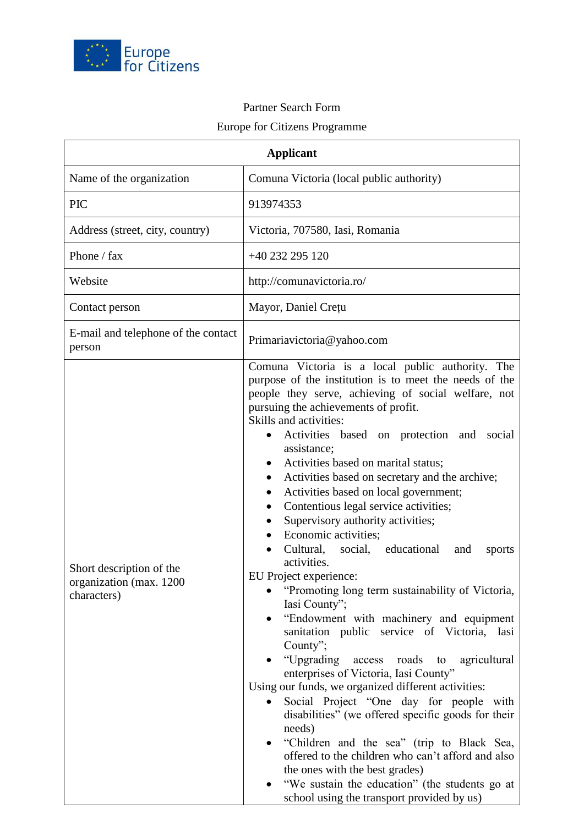

## Partner Search Form

## Europe for Citizens Programme

| <b>Applicant</b>                                                   |                                                                                                                                                                                                                                                                                                                                                                                                                                                                                                                                                                                                                                                                                                                                                                                                                                                                                                                                                                                                                                                                                                                                                                                                                                                                                                                                                                                       |
|--------------------------------------------------------------------|---------------------------------------------------------------------------------------------------------------------------------------------------------------------------------------------------------------------------------------------------------------------------------------------------------------------------------------------------------------------------------------------------------------------------------------------------------------------------------------------------------------------------------------------------------------------------------------------------------------------------------------------------------------------------------------------------------------------------------------------------------------------------------------------------------------------------------------------------------------------------------------------------------------------------------------------------------------------------------------------------------------------------------------------------------------------------------------------------------------------------------------------------------------------------------------------------------------------------------------------------------------------------------------------------------------------------------------------------------------------------------------|
| Name of the organization                                           | Comuna Victoria (local public authority)                                                                                                                                                                                                                                                                                                                                                                                                                                                                                                                                                                                                                                                                                                                                                                                                                                                                                                                                                                                                                                                                                                                                                                                                                                                                                                                                              |
| <b>PIC</b>                                                         | 913974353                                                                                                                                                                                                                                                                                                                                                                                                                                                                                                                                                                                                                                                                                                                                                                                                                                                                                                                                                                                                                                                                                                                                                                                                                                                                                                                                                                             |
| Address (street, city, country)                                    | Victoria, 707580, Iasi, Romania                                                                                                                                                                                                                                                                                                                                                                                                                                                                                                                                                                                                                                                                                                                                                                                                                                                                                                                                                                                                                                                                                                                                                                                                                                                                                                                                                       |
| Phone / fax                                                        | +40 232 295 120                                                                                                                                                                                                                                                                                                                                                                                                                                                                                                                                                                                                                                                                                                                                                                                                                                                                                                                                                                                                                                                                                                                                                                                                                                                                                                                                                                       |
| Website                                                            | http://comunavictoria.ro/                                                                                                                                                                                                                                                                                                                                                                                                                                                                                                                                                                                                                                                                                                                                                                                                                                                                                                                                                                                                                                                                                                                                                                                                                                                                                                                                                             |
| Contact person                                                     | Mayor, Daniel Crețu                                                                                                                                                                                                                                                                                                                                                                                                                                                                                                                                                                                                                                                                                                                                                                                                                                                                                                                                                                                                                                                                                                                                                                                                                                                                                                                                                                   |
| E-mail and telephone of the contact<br>person                      | Primariavictoria@yahoo.com                                                                                                                                                                                                                                                                                                                                                                                                                                                                                                                                                                                                                                                                                                                                                                                                                                                                                                                                                                                                                                                                                                                                                                                                                                                                                                                                                            |
| Short description of the<br>organization (max. 1200<br>characters) | Comuna Victoria is a local public authority. The<br>purpose of the institution is to meet the needs of the<br>people they serve, achieving of social welfare, not<br>pursuing the achievements of profit.<br>Skills and activities:<br>Activities based on protection and<br>social<br>assistance;<br>Activities based on marital status;<br>$\bullet$<br>Activities based on secretary and the archive;<br>$\bullet$<br>Activities based on local government;<br>$\bullet$<br>Contentious legal service activities;<br>Supervisory authority activities;<br>Economic activities;<br>Cultural, social, educational<br>and<br>sports<br>activities.<br>EU Project experience:<br>"Promoting long term sustainability of Victoria,<br>Iasi County";<br>"Endowment with machinery and equipment<br>sanitation public service of Victoria, Iasi<br>County";<br>"Upgrading<br>access roads<br>to<br>agricultural<br>enterprises of Victoria, Iasi County"<br>Using our funds, we organized different activities:<br>Social Project "One day for people with<br>$\bullet$<br>disabilities" (we offered specific goods for their<br>needs)<br>"Children and the sea" (trip to Black Sea,<br>$\bullet$<br>offered to the children who can't afford and also<br>the ones with the best grades)<br>"We sustain the education" (the students go at<br>school using the transport provided by us) |